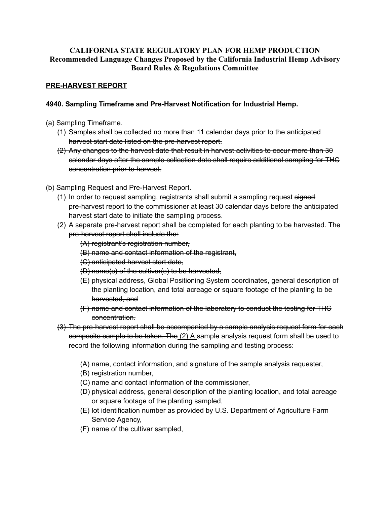## **CALIFORNIA STATE REGULATORY PLAN FOR HEMP PRODUCTION Recommended Language Changes Proposed by the California Industrial Hemp Advisory Board Rules & Regulations Committee**

## **PRE-HARVEST REPORT**

## **4940. Sampling Timeframe and Pre-Harvest Notification for Industrial Hemp.**

### (a) Sampling Timeframe.

- (1) Samples shall be collected no more than 11 calendar days prior to the anticipated harvest start date listed on the pre-harvest report.
- (2) Any changes to the harvest date that result in harvest activities to occur more than 30 calendar days after the sample collection date shall require additional sampling for THC concentration prior to harvest.
- (b) Sampling Request and Pre-Harvest Report.
	- (1) In order to request sampling, registrants shall submit a sampling request signed pre-harvest report to the commissioner at least 30 calendar days before the anticipated harvest start date to initiate the sampling process.
	- (2) A separate pre-harvest report shall be completed for each planting to be harvested. The pre-harvest report shall include the:
		- (A) registrant's registration number,
		- (B) name and contact information of the registrant,
		- (C) anticipated harvest start date,
		- (D) name(s) of the cultivar(s) to be harvested,
		- (E) physical address, Global Positioning System coordinates, general description of the planting location, and total acreage or square footage of the planting to be harvested, and
		- (F) name and contact information of the laboratory to conduct the testing for THC concentration.
	- (3) The pre-harvest report shall be accompanied by a sample analysis request form for each composite sample to be taken. The (2) A sample analysis request form shall be used to record the following information during the sampling and testing process:
		- (A) name, contact information, and signature of the sample analysis requester,
		- (B) registration number,
		- (C) name and contact information of the commissioner,
		- (D) physical address, general description of the planting location, and total acreage or square footage of the planting sampled,
		- (E) lot identification number as provided by U.S. Department of Agriculture Farm Service Agency,
		- (F) name of the cultivar sampled,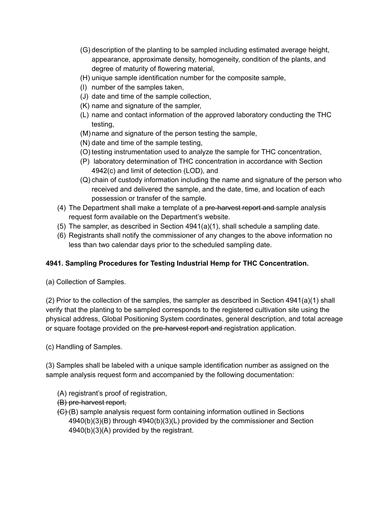- (G) description of the planting to be sampled including estimated average height, appearance, approximate density, homogeneity, condition of the plants, and degree of maturity of flowering material,
- (H) unique sample identification number for the composite sample,
- (I) number of the samples taken,
- (J) date and time of the sample collection,
- (K) name and signature of the sampler,
- (L) name and contact information of the approved laboratory conducting the THC testing,
- (M) name and signature of the person testing the sample,
- (N) date and time of the sample testing,
- (O) testing instrumentation used to analyze the sample for THC concentration,
- (P) laboratory determination of THC concentration in accordance with Section 4942(c) and limit of detection (LOD), and
- (Q) chain of custody information including the name and signature of the person who received and delivered the sample, and the date, time, and location of each possession or transfer of the sample.
- (4) The Department shall make a template of a <del>pre-harvest report and s</del>ample analysis request form available on the Department's website.
- (5) The sampler, as described in Section 4941(a)(1), shall schedule a sampling date.
- (6) Registrants shall notify the commissioner of any changes to the above information no less than two calendar days prior to the scheduled sampling date.

# **4941. Sampling Procedures for Testing Industrial Hemp for THC Concentration.**

(a) Collection of Samples.

 (2) Prior to the collection of the samples, the sampler as described in Section 4941(a)(1) shall verify that the planting to be sampled corresponds to the registered cultivation site using the physical address, Global Positioning System coordinates, general description, and total acreage or square footage provided on the pre-harvest report and registration application.

(c) Handling of Samples.

 (3) Samples shall be labeled with a unique sample identification number as assigned on the sample analysis request form and accompanied by the following documentation:

- (A) registrant's proof of registration,
- (B) pre-harvest report,
- (<del>C)</del>(B) sample analysis request form containing information outlined in Sections 4940(b)(3)(B) through 4940(b)(3)(L) provided by the commissioner and Section 4940(b)(3)(A) provided by the registrant.